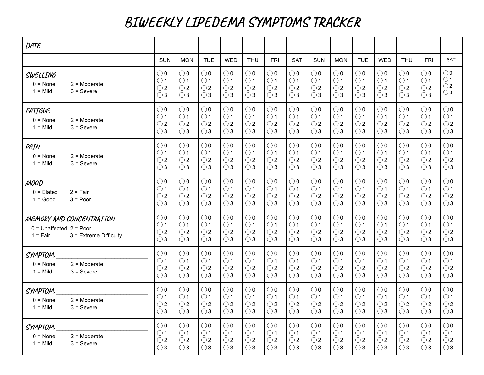## **BIWEEKLY LIPEDEMA SYMPTOMS TRACKER**

| DATE                                              |                                                      |                                                              |                                                              |                                                              |                                                              |                                                              |                                                              |                                                              |                                                              |                                                              |                                                              |                                                              |                                                              |                                                              |                                                              |
|---------------------------------------------------|------------------------------------------------------|--------------------------------------------------------------|--------------------------------------------------------------|--------------------------------------------------------------|--------------------------------------------------------------|--------------------------------------------------------------|--------------------------------------------------------------|--------------------------------------------------------------|--------------------------------------------------------------|--------------------------------------------------------------|--------------------------------------------------------------|--------------------------------------------------------------|--------------------------------------------------------------|--------------------------------------------------------------|--------------------------------------------------------------|
|                                                   |                                                      | <b>SUN</b>                                                   | <b>MON</b>                                                   | <b>TUE</b>                                                   | <b>WED</b>                                                   | <b>THU</b>                                                   | <b>FRI</b>                                                   | <b>SAT</b>                                                   | <b>SUN</b>                                                   | <b>MON</b>                                                   | <b>TUE</b>                                                   | <b>WED</b>                                                   | <b>THU</b>                                                   | <b>FRI</b>                                                   | <b>SAT</b>                                                   |
| SWELLING<br>$0 = None$<br>$1 =$ Mild              | $2 =$ Moderate<br>$3 =$ Severe                       | $\bigcirc$ 0<br>$\bigcirc$ 1<br>$\bigcirc$ 2<br>$\bigcirc$ 3 | $\bigcirc$ 0<br>$\bigcirc$ 1<br>$\bigcirc$ 2<br>$\bigcirc$ 3 | $\bigcirc$ 0<br>$\bigcirc$ 1<br>$\bigcirc$ 2<br>$\bigcirc$ 3 | $\bigcirc$ 0<br>$\bigcirc$ 1<br>$\bigcirc$ 2<br>$\bigcirc$ 3 | $\bigcirc$ 0<br>$\bigcirc$ 1<br>$\bigcirc$ 2<br>$\bigcirc$ 3 | $\bigcirc$ 0<br>$\bigcirc$ 1<br>$\bigcirc$ 2<br>$\bigcirc$ 3 | $\bigcirc$ 0<br>$\bigcirc$ 1<br>$\bigcirc$ 2<br>$\bigcirc$ 3 | $\bigcirc$ 0<br>$\bigcirc$ 1<br>$\bigcirc$ 2<br>$\bigcirc$ 3 | $\bigcirc$ 0<br>$\bigcirc$ 1<br>$\bigcirc$ 2<br>$\bigcirc$ 3 | $\bigcirc$ 0<br>$\bigcirc$ 1<br>$\bigcirc$ 2<br>$\bigcirc$ 3 | $\bigcirc$ 0<br>$\bigcirc$ 1<br>$\bigcirc$ 2<br>$\bigcirc$ 3 | $\bigcirc$ 0<br>$\bigcirc$ 1<br>$\bigcirc$ 2<br>$\bigcirc$ 3 | $\bigcirc$ 0<br>$\bigcirc$ 1<br>$\bigcirc$ 2<br>$\bigcirc$ 3 | $\bigcirc$ 0<br>$\bigcirc$ 1<br>$\bigcirc$ 2<br>$\bigcirc$ 3 |
| <b>FATIGUE</b><br>$0 = \text{None}$<br>$1 =$ Mild | $2 =$ Moderate<br>$3 =$ Severe                       | $\bigcirc$ 0<br>$\bigcirc$ 1<br>$\bigcirc$ 2<br>$\bigcirc$ 3 | $\bigcirc$ 0<br>$\bigcirc$ 1<br>$\bigcirc$ 2<br>$\bigcirc$ 3 | $\bigcirc$ 0<br>$\bigcirc$ 1<br>$\bigcirc$ 2<br>$\bigcirc$ 3 | $\bigcirc$ 0<br>$\bigcirc$ 1<br>$\bigcirc$ 2<br>$\bigcirc$ 3 | $\bigcirc$ 0<br>$\bigcirc$ 1<br>$\bigcirc$ 2<br>$\bigcirc$ 3 | $\bigcirc$ 0<br>$\bigcirc$ 1<br>$\bigcirc$ 2<br>$\bigcirc$ 3 | $\bigcirc$ 0<br>$\bigcirc$ 1<br>$\bigcirc$ 2<br>$\bigcirc$ 3 | $\bigcirc$ 0<br>$\bigcirc$ 1<br>$\bigcirc$ 2<br>$\bigcirc$ 3 | $\bigcirc$ 0<br>$\bigcirc$ 1<br>$\bigcirc$ 2<br>$\bigcirc$ 3 | $\bigcirc$ 0<br>$\bigcirc$ 1<br>$\bigcirc$ 2<br>$\bigcirc$ 3 | $\bigcirc$ 0<br>$\bigcirc$ 1<br>$\bigcirc$ 2<br>$\bigcirc$ 3 | $\bigcirc$ 0<br>$\bigcirc$ 1<br>$\bigcirc$ 2<br>$\bigcirc$ 3 | $\bigcirc$ 0<br>$\bigcirc$ 1<br>$\bigcirc$ 2<br>$\bigcirc$ 3 | $\bigcirc$ 0<br>$\bigcirc$ 1<br>$\bigcirc$ 2<br>$\bigcirc$ 3 |
| PAIN<br>$0 = None$<br>$1 =$ Mild                  | $2 =$ Moderate<br>$3 =$ Severe                       | $\bigcirc$ 0<br>$\bigcirc$ 1<br>$\bigcirc$ 2<br>$\bigcirc$ 3 | $\bigcirc$ 0<br>$\bigcirc$ 1<br>$\bigcirc$ 2<br>$\bigcirc$ 3 | $\bigcirc$ 0<br>$\bigcirc$ 1<br>$\bigcirc$ 2<br>$\bigcirc$ 3 | $\bigcirc$ 0<br>$\bigcirc$ 1<br>$\bigcirc$ 2<br>$\bigcirc$ 3 | $\bigcirc$ 0<br>$\bigcirc$ 1<br>$\bigcirc$ 2<br>$\bigcirc$ 3 | $\bigcirc$ 0<br>$\bigcirc$ 1<br>$\bigcirc$ 2<br>$\bigcirc$ 3 | $\bigcirc$ 0<br>$\bigcirc$ 1<br>$\bigcirc$ 2<br>$\bigcirc$ 3 | $\bigcirc$ 0<br>$\bigcirc$ 1<br>$\bigcirc$ 2<br>$\bigcirc$ 3 | $\bigcirc$ 0<br>$\bigcirc$ 1<br>$\bigcirc$ 2<br>$\bigcirc$ 3 | $\bigcirc$ 0<br>$\bigcirc$ 1<br>$\bigcirc$ 2<br>$\bigcirc$ 3 | $\bigcirc$ 0<br>$\bigcirc$ 1<br>$\bigcirc$ 2<br>$\bigcirc$ 3 | $\bigcirc$ 0<br>$\bigcirc$ 1<br>$\bigcirc$ 2<br>$\bigcirc$ 3 | $\bigcirc$ 0<br>$\bigcirc$ 1<br>$\bigcirc$ 2<br>$\bigcirc$ 3 | $\bigcirc$ 0<br>$\bigcirc$ 1<br>$\bigcirc$ 2<br>$\bigcirc$ 3 |
| <b>MOOD</b><br>$0 =$ Elated<br>$1 = Good$         | $2 = Fair$<br>$3 = Poor$                             | $\bigcirc$ 0<br>$\bigcirc$ 1<br>$\bigcirc$ 2<br>$\bigcirc$ 3 | $\bigcirc$ 0<br>$\bigcirc$ 1<br>$\bigcirc$ 2<br>$\bigcirc$ 3 | $\bigcirc$ 0<br>$\bigcirc$ 1<br>$\bigcirc$ 2<br>$\bigcirc$ 3 | $\bigcirc$ 0<br>$\bigcirc$ 1<br>$\bigcirc$ 2<br>$\bigcirc$ 3 | $\bigcirc$ 0<br>$\bigcirc$ 1<br>$\bigcirc$ 2<br>$\bigcirc$ 3 | $\bigcirc$ 0<br>$\bigcirc$ 1<br>$\bigcirc$ 2<br>$\bigcirc$ 3 | $\bigcirc$ 0<br>$\bigcirc$ 1<br>$\bigcirc$ 2<br>$\bigcirc$ 3 | $\bigcirc$ 0<br>$\bigcirc$ 1<br>$\bigcirc$ 2<br>$\bigcirc$ 3 | $\bigcirc$ 0<br>$\bigcirc$ 1<br>$\bigcirc$ 2<br>$\bigcirc$ 3 | $\bigcirc$ 0<br>$\bigcirc$ 1<br>$\bigcirc$ 2<br>$\bigcirc$ 3 | $\bigcirc$ 0<br>$\bigcirc$ 1<br>$\bigcirc$ 2<br>$\bigcirc$ 3 | $\bigcirc$ 0<br>$\bigcirc$ 1<br>$\bigcirc$ 2<br>$\bigcirc$ 3 | $\bigcirc$ 0<br>$\bigcirc$ 1<br>$\bigcirc$ 2<br>$\bigcirc$ 3 | $\bigcirc$ 0<br>$\bigcirc$ 1<br>$\bigcirc$ 2<br>$\bigcirc$ 3 |
| $0 =$ Unaffected $2 =$ Poor<br>$1 = Fair$         | MEMORY AND CONCENTRATION<br>$3$ = Extreme Difficulty | $\bigcirc$ 0<br>$\bigcirc$ 1<br>$\bigcirc$ 2<br>$\bigcirc$ 3 | $\bigcirc$ 0<br>$\bigcirc$ 1<br>$\bigcirc$ 2<br>$\bigcirc$ 3 | $\bigcirc$ 0<br>$\bigcirc$ 1<br>$\bigcirc$ 2<br>$\bigcirc$ 3 | $\bigcirc$ 0<br>$\bigcirc$ 1<br>$\bigcirc$ 2<br>$\bigcirc$ 3 | $\bigcirc$ 0<br>$\bigcirc$ 1<br>$\bigcirc$ 2<br>$\bigcirc$ 3 | $\bigcirc$ 0<br>$\bigcirc$ 1<br>$\bigcirc$ 2<br>$\bigcirc$ 3 | $\bigcirc$ 0<br>$\bigcirc$ 1<br>$\bigcirc$ 2<br>$\bigcirc$ 3 | $\bigcirc$ 0<br>$\bigcirc$ 1<br>$\bigcirc$ 2<br>$\bigcirc$ 3 | $\bigcirc$ 0<br>$\bigcirc$ 1<br>$\bigcirc$ 2<br>$\bigcirc$ 3 | $\bigcirc$ 0<br>$\bigcirc$ 1<br>$\bigcirc$ 2<br>$\bigcirc$ 3 | $\bigcirc$ 0<br>$\bigcirc$ 1<br>$\bigcirc$ 2<br>$\bigcirc$ 3 | $\bigcirc$ 0<br>$\bigcirc$ 1<br>$\bigcirc$ 2<br>$\bigcirc$ 3 | $\bigcirc$ 0<br>$\bigcirc$ 1<br>$\bigcirc$ 2<br>$\bigcirc$ 3 | $\bigcirc$ 0<br>$\bigcirc$ 1<br>$\bigcirc$ 2<br>$\bigcirc$ 3 |
| SYMPTOM:<br>$0 = \text{None}$<br>$1 =$ Mild       | $2 =$ Moderate<br>$3 =$ Severe                       | $\bigcirc$ 0<br>$\bigcirc$ 1<br>$\bigcirc$ 2<br>$\bigcirc$ 3 | $\bigcirc$ 0<br>$\bigcirc$ 1<br>$\bigcirc$ 2<br>$\bigcirc$ 3 | $\bigcirc$ 0<br>$\bigcirc$ 1<br>$\bigcirc$ 2<br>$\bigcirc$ 3 | $\bigcirc$ 0<br>$\bigcirc$ 1<br>$\bigcirc$ 2<br>$\bigcirc$ 3 | $\bigcirc$ 0<br>$\bigcirc$ 1<br>$\bigcirc$ 2<br>$\bigcirc$ 3 | $\bigcirc$ 0<br>$\bigcirc$ 1<br>$\bigcirc$ 2<br>$\bigcirc$ 3 | $\bigcirc$ 0<br>$\bigcirc$ 1<br>$\bigcirc$ 2<br>$\bigcirc$ 3 | $\bigcirc$ 0<br>$\bigcirc$ 1<br>$\bigcirc$ 2<br>$\bigcirc$ 3 | $\bigcirc$ 0<br>$\bigcirc$ 1<br>$\bigcirc$ 2<br>$\bigcirc$ 3 | $\bigcirc$ 0<br>$\bigcirc$ 1<br>$\bigcirc$ 2<br>$\bigcirc$ 3 | $\bigcirc$ 0<br>$\bigcirc$ 1<br>$\bigcirc$ 2<br>$\bigcirc$ 3 | $\bigcirc$ 0<br>$\bigcirc$ 1<br>$\bigcirc$ 2<br>$\bigcirc$ 3 | $\bigcirc$ 0<br>$\bigcirc$ 1<br>$\bigcirc$ 2<br>$\bigcirc$ 3 | $\bigcirc$ 0<br>$\bigcirc$ 1<br>$\bigcirc$ 2<br>$\bigcirc$ 3 |
| SYMPTOM:<br>$0 = None$<br>$1 =$ Mild              | $2 =$ Moderate<br>$3 =$ Severe                       | $\bigcirc$ 0<br>$\bigcirc$ 1<br>$\bigcirc$ 2<br>$\bigcirc$ 3 | $\bigcirc$ 0<br>$\bigcirc$ 1<br>$\bigcirc$ 2<br>$\bigcirc$ 3 | $\bigcirc$ 0<br>$\bigcirc$ 1<br>$\bigcirc$ 2<br>$\bigcirc$ 3 | $\bigcirc$ 0<br>$\bigcirc$ 1<br>$\bigcirc$ 2<br>$\bigcirc$ 3 | $\bigcirc$ 0<br>$\bigcirc$ 1<br>$\bigcirc$ 2<br>$\bigcirc$ 3 | $\bigcirc$ 0<br>$\bigcirc$ 1<br>$\bigcirc$ 2<br>$\bigcirc$ 3 | $\bigcirc$ 0<br>$\bigcirc$ 1<br>$\bigcirc$ 2<br>$\bigcirc$ 3 | $\bigcirc$ 0<br>$\bigcirc$ 1<br>$\bigcirc$ 2<br>$\bigcirc$ 3 | $\bigcirc$ 0<br>$\bigcirc$ 1<br>$\bigcirc$ 2<br>$\bigcirc$ 3 | $\bigcirc$ 0<br>$\bigcirc$ 1<br>$\bigcirc$ 2<br>$\bigcirc$ 3 | $\bigcirc$ 0<br>$\bigcirc$ 1<br>$\bigcirc$ 2<br>$\bigcirc$ 3 | $\bigcirc$ 0<br>$\bigcirc$ 1<br>$\bigcirc$ 2<br>$\bigcirc$ 3 | $\bigcirc$ 0<br>$\bigcirc$ 1<br>$\bigcirc$ 2<br>$\bigcirc$ 3 | $\bigcirc$ 0<br>$\bigcirc$ 1<br>$\bigcirc$ 2<br>$\bigcirc$ 3 |
| SYMPTOM:<br>$0 = None$<br>$1 =$ Mild              | $2 =$ Moderate<br>$3 =$ Severe                       | $\bigcirc$ 0<br>$\bigcirc$ 1<br>$\bigcirc$ 2<br>$\bigcirc$ 3 | $\bigcirc$ 0<br>$\bigcirc$ 1<br>$\bigcirc$ 2<br>$\bigcirc$ 3 | $\bigcirc$ 0<br>$\bigcirc$ 1<br>$\bigcirc$ 2<br>$\bigcirc$ 3 | $\bigcirc$ 0<br>$\bigcirc$ 1<br>$\bigcirc$ 2<br>$\bigcirc$ 3 | $\bigcirc$ 0<br>$\bigcirc$ 1<br>$\bigcirc$ 2<br>$\bigcirc$ 3 | $\bigcirc$ 0<br>$\bigcirc$ 1<br>$\bigcirc$ 2<br>$\bigcirc$ 3 | $\bigcirc$ 0<br>$\bigcirc$ 1<br>$\bigcirc$ 2<br>$\bigcirc$ 3 | $\bigcirc$ 0<br>$\bigcirc$ 1<br>$\bigcirc$ 2<br>$\bigcirc$ 3 | $\bigcirc$ 0<br>$\bigcirc$ 1<br>$\bigcirc$ 2<br>$\bigcirc$ 3 | $\bigcirc$ 0<br>$\bigcirc$ 1<br>$\bigcirc$ 2<br>$\bigcirc$ 3 | $\bigcirc$ 0<br>$\bigcirc$ 1<br>$\bigcirc$ 2<br>$\bigcirc$ 3 | $\bigcirc$ 0<br>$\bigcirc$ 1<br>$\bigcirc$ 2<br>$\bigcirc$ 3 | $\bigcirc$ 0<br>$\bigcirc$ 1<br>$\bigcirc$ 2<br>$\bigcirc$ 3 | $\bigcirc$ 0<br>$\bigcirc$ 1<br>$\bigcirc$ 2<br>$\bigcirc$ 3 |